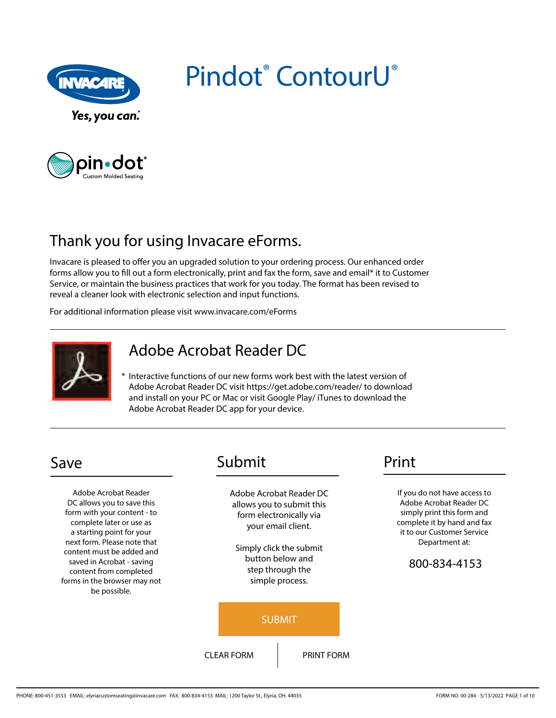

## Pindot<sup>®</sup> ContourU®



### Thank you for using Invacare eForms.

Invacare is pleased to offer you an upgraded solution to your ordering process. Our enhanced order forms allow you to fill out a form electronically, print and fax the form, save and email\* it to Customer Service, or maintain the business practices that work for you today. The format has been revised to reveal a cleaner look with electronic selection and input functions.

For additional information please visit www.invacare.com/eForms



#### Adobe Acrobat Reader DC

\* Interactive functions of our new forms work best with the latest version of Adobe Acrobat Reader DC visit [https://get.adobe.com/r](https://get.adobe.com/reader)eader/ to download and install on your PC or Mac or visit Google Play/ iTunes to download the Adobe Acrobat Reader DC app for your device.

Adobe Acrobat Reader DC allows you to save this form with your content - to complete later or use as a starting point for your next form. Please note that content must be added and saved in Acrobat - saving content from completed forms in the browser may not be possible.

#### Save Submit Print

Adobe Acrobat Reader DC allows you to submit this form electronically via your email client.

Simply click the submit button below and step through the simple process.

# $\small \textsf{CLEAR FORM} \normalsize \begin{tabular}{|c|c|} \textsf{SUBMIT} \normalsize \textsf{CLEAR FORM} \normalsize \textsf{PRINT FORM} \normalsize \textsf{PRINT FORM} \normalsize \textsf{RMAIL: elyria} \normalsize \textsf{CMAIC: elyria} \normalsize \textsf{CMAIC: elyria} \normalsize \textsf{CMAIC: elyria} \normalsize \textsf{CMAIC: elyria} \normalsize \textsf{CMAIC: elyria} \normalsize \textsf{CMAIC: elyria} \normalsize \textsf{CMAIC: elyria} \normalsize \textsf{CMAIC: elyria} \normalsize \$ CLEAR FORM PRINT FORM

If you do not have access to Adobe Acrobat Reader DC simply print this form and complete it by hand and fax it to our Customer Service Department at:

#### 800-834-4153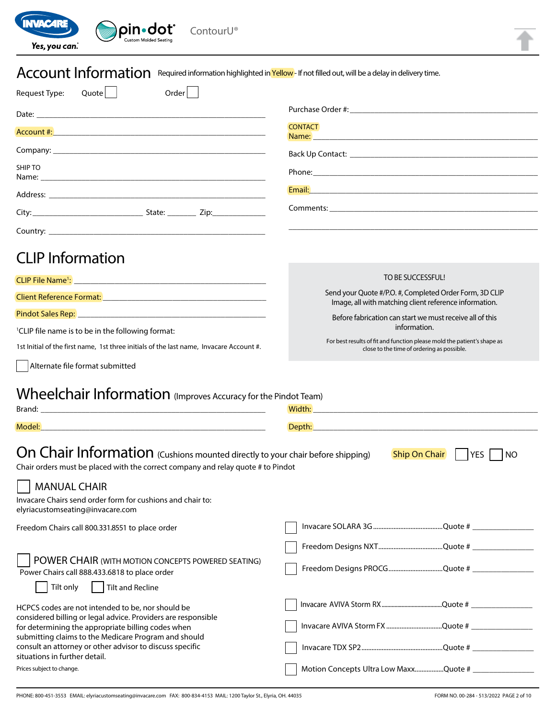| AVAV SALEI SI<br>Yes, you can. | <b>Moin</b> •dot<br><b>Custom Molded Seating</b> | ContourU® |
|--------------------------------|--------------------------------------------------|-----------|
|--------------------------------|--------------------------------------------------|-----------|

Account Information Required information highlighted in **Yellow** - If not filled out, will be a delay in delivery time.

| Request Type:<br>Order<br>Quote   |                                                                                                                                  |
|-----------------------------------|----------------------------------------------------------------------------------------------------------------------------------|
|                                   |                                                                                                                                  |
| Account #: Network and Account #: | <b>CONTACT</b><br>Name: 2008 - 2008 - 2010 - 2010 - 2010 - 2011 - 2012 - 2012 - 2014 - 2014 - 2014 - 2014 - 2014 - 2014 - 2014 - |
|                                   |                                                                                                                                  |
| SHIP TO                           |                                                                                                                                  |
|                                   | Email: Email:                                                                                                                    |
|                                   |                                                                                                                                  |
|                                   |                                                                                                                                  |

#### CLIP Information

| <b>CLIP File Name</b> <sup>1</sup> :                                                                                                                                                                                                              | TO BE SUCCESSFUL!                                                                                                     |
|---------------------------------------------------------------------------------------------------------------------------------------------------------------------------------------------------------------------------------------------------|-----------------------------------------------------------------------------------------------------------------------|
|                                                                                                                                                                                                                                                   | Send your Quote #/P.O. #, Completed Order Form, 3D CLIP<br>Image, all with matching client reference information.     |
| <b>Pindot Sales Rep: Pindot Sales Rep: Pindot Sales Rep: Pindot Sales Rep: Pindot Sales Rep: Pindot Sales Rep: Pindot</b> Sales Rep: <b>Pindot</b> Sales Rep: <b>Pindot</b> Sales Rep: <b>Pindot</b> Sales Rep: <b>Pindot</b> Sales Rep: <b>P</b> | Before fabrication can start we must receive all of this                                                              |
| <sup>1</sup> CLIP file name is to be in the following format:                                                                                                                                                                                     | information.                                                                                                          |
| 1st Initial of the first name, 1st three initials of the last name, Invacare Account #.                                                                                                                                                           | For best results of fit and function please mold the patient's shape as<br>close to the time of ordering as possible. |

Alternate file format submitted

#### Wheelchair Information (Improves Accuracy for the Pindot Team)

| Brand: Example 2014 and 2014 and 2014 and 2014 and 2014 and 2014 and 2014 and 2014 and 2014 and 2014 and 2014                                                                                              | Width:                                                              |  |
|------------------------------------------------------------------------------------------------------------------------------------------------------------------------------------------------------------|---------------------------------------------------------------------|--|
| Model:                                                                                                                                                                                                     | Depth:<br><u> 1989 - John Stein, Amerikaansk politiker (* 1918)</u> |  |
| On Chair Information (Cushions mounted directly to your chair before shipping)<br><b>Ship On Chair</b><br>YES.<br>l No<br>Chair orders must be placed with the correct company and relay quote # to Pindot |                                                                     |  |
| <b>MANUAL CHAIR</b>                                                                                                                                                                                        |                                                                     |  |
| Invacare Chairs send order form for cushions and chair to:<br>elyriacustomseating@invacare.com                                                                                                             |                                                                     |  |
| Freedom Chairs call 800.331.8551 to place order                                                                                                                                                            |                                                                     |  |
|                                                                                                                                                                                                            |                                                                     |  |
| POWER CHAIR (WITH MOTION CONCEPTS POWERED SEATING)<br>Power Chairs call 888.433.6818 to place order                                                                                                        | Freedom Designs PROCGQuote # ____________________                   |  |
| Tilt and Recline<br>Tilt only                                                                                                                                                                              |                                                                     |  |
| HCPCS codes are not intended to be, nor should be                                                                                                                                                          |                                                                     |  |
| considered billing or legal advice. Providers are responsible<br>for determining the appropriate billing codes when                                                                                        | Invacare AVIVA Storm FX Quote # ______________                      |  |
| submitting claims to the Medicare Program and should<br>consult an attorney or other advisor to discuss specific<br>situations in further detail.                                                          |                                                                     |  |
| Prices subject to change.                                                                                                                                                                                  | Motion Concepts Ultra Low MaxxQuote # _________________________     |  |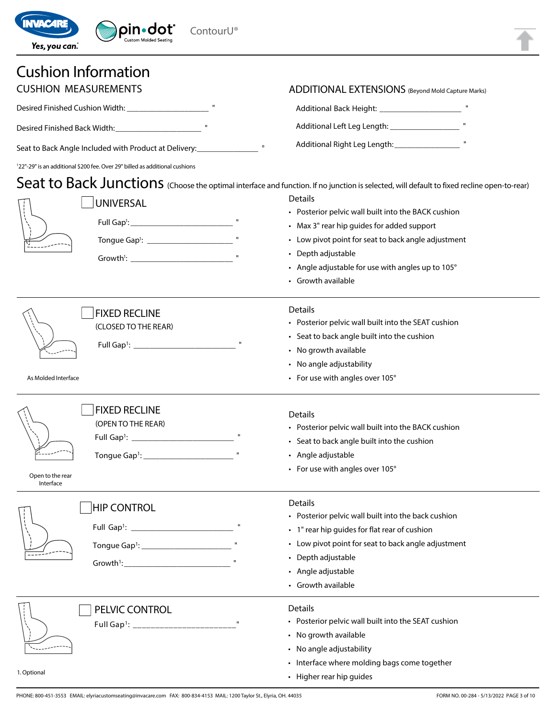| <b>NVAC4RE</b><br>pin•dot®<br>Yes, you can.                                                                                                                  | ContourU®                                                                                                                                                                                                                                                                                                                                                                                                                                                                                                                                                                    |
|--------------------------------------------------------------------------------------------------------------------------------------------------------------|------------------------------------------------------------------------------------------------------------------------------------------------------------------------------------------------------------------------------------------------------------------------------------------------------------------------------------------------------------------------------------------------------------------------------------------------------------------------------------------------------------------------------------------------------------------------------|
| <b>Cushion Information</b><br><b>CUSHION MEASUREMENTS</b><br>122"-29" is an additional \$200 fee. Over 29" billed as additional cushions<br><b>UNIVERSAL</b> | ADDITIONAL EXTENSIONS (Beyond Mold Capture Marks)<br>Additional Left Leg Length: ___________________<br>Additional Right Leg Length: _________________<br>Seat to Back Junctions (Choose the optimal interface and function. If no junction is selected, will default to fixed recline open-to-rear)<br>Details<br>• Posterior pelvic wall built into the BACK cushion<br>• Max 3" rear hip guides for added support<br>• Low pivot point for seat to back angle adjustment<br>• Depth adjustable<br>• Angle adjustable for use with angles up to 105°<br>• Growth available |
| <b>FIXED RECLINE</b><br>(CLOSED TO THE REAR)<br>As Molded Interface                                                                                          | <b>Details</b><br>• Posterior pelvic wall built into the SEAT cushion<br>• Seat to back angle built into the cushion<br>• No growth available<br>• No angle adjustability<br>• For use with angles over 105°                                                                                                                                                                                                                                                                                                                                                                 |
| <b>FIXED RECLINE</b><br>(OPEN TO THE REAR)<br>Open to the rear<br>Interface                                                                                  | <b>Details</b><br>• Posterior pelvic wall built into the BACK cushion<br>• Seat to back angle built into the cushion<br>• Angle adjustable<br>• For use with angles over 105°                                                                                                                                                                                                                                                                                                                                                                                                |
| <b>HIP CONTROL</b><br>Tongue Gap <sup>1</sup> : _________________________                                                                                    | <b>Details</b><br>• Posterior pelvic wall built into the back cushion<br>• 1" rear hip guides for flat rear of cushion<br>• Low pivot point for seat to back angle adjustment<br>• Depth adjustable<br>• Angle adjustable<br>• Growth available                                                                                                                                                                                                                                                                                                                              |
| PELVIC CONTROL<br>1. Optional                                                                                                                                | <b>Details</b><br>• Posterior pelvic wall built into the SEAT cushion<br>• No growth available<br>• No angle adjustability<br>• Interface where molding bags come together<br>• Higher rear hip guides                                                                                                                                                                                                                                                                                                                                                                       |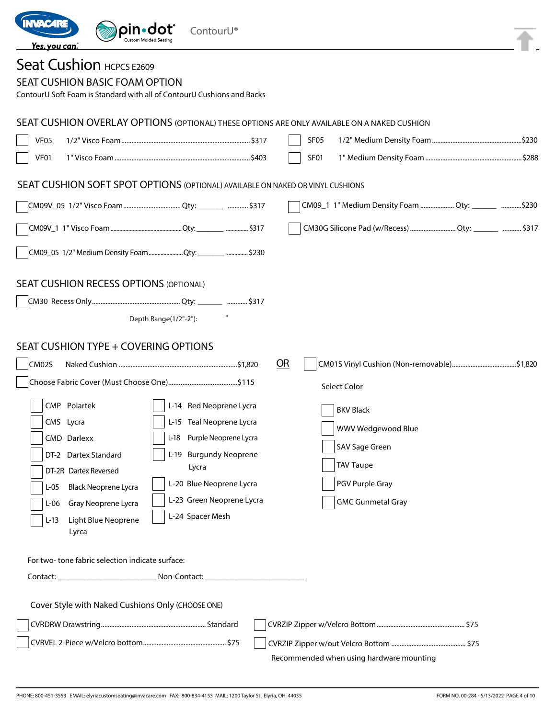| <b>INVACARE</b><br>pin•dot°<br>ContourU®<br><u>Yes, you can.</u>                                                                                                                                                                                                                                                                                                                                                                |                                                                                                                                                                        |
|---------------------------------------------------------------------------------------------------------------------------------------------------------------------------------------------------------------------------------------------------------------------------------------------------------------------------------------------------------------------------------------------------------------------------------|------------------------------------------------------------------------------------------------------------------------------------------------------------------------|
| Seat Cushion HCPCS E2609<br>SEAT CUSHION BASIC FOAM OPTION<br>ContourU Soft Foam is Standard with all of ContourU Cushions and Backs                                                                                                                                                                                                                                                                                            |                                                                                                                                                                        |
| SEAT CUSHION OVERLAY OPTIONS (OPTIONAL) THESE OPTIONS ARE ONLY AVAILABLE ON A NAKED CUSHION<br><b>VF05</b><br>VF01                                                                                                                                                                                                                                                                                                              | SF <sub>05</sub><br>SF <sub>01</sub>                                                                                                                                   |
| SEAT CUSHION SOFT SPOT OPTIONS (OPTIONAL) AVAILABLE ON NAKED OR VINYL CUSHIONS<br>CM09V_05 1/2" Visco FoamQty: _______  \$317<br>CM09_05 1/2" Medium Density FoamQty:________ \$230                                                                                                                                                                                                                                             | CM09_1 1" Medium Density Foam  Qty: _______ \$230<br>CM30G Silicone Pad (w/Recess)  Qty: _______  \$317                                                                |
| <b>SEAT CUSHION RECESS OPTIONS (OPTIONAL)</b><br>Depth Range(1/2"-2"):<br>SEAT CUSHION TYPE + COVERING OPTIONS                                                                                                                                                                                                                                                                                                                  |                                                                                                                                                                        |
| CM02S<br>CMP Polartek<br>L-14 Red Neoprene Lycra<br>L-15 Teal Neoprene Lycra<br>CMS Lycra<br>CMD Darlexx<br>Purple Neoprene Lycra<br>L-18<br><b>Burgundy Neoprene</b><br>DT-2 Dartex Standard<br>L-19<br>Lycra<br>DT-2R Dartex Reversed<br>L-20 Blue Neoprene Lycra<br>Black Neoprene Lycra<br>$L-05$<br>L-23 Green Neoprene Lycra<br>Gray Neoprene Lycra<br>L-06<br>L-24 Spacer Mesh<br>$L-13$<br>Light Blue Neoprene<br>Lyrca | <b>OR</b><br>Select Color<br><b>BKV Black</b><br><b>WWV Wedgewood Blue</b><br><b>SAV Sage Green</b><br><b>TAV Taupe</b><br>PGV Purple Gray<br><b>GMC Gunmetal Gray</b> |
| For two-tone fabric selection indicate surface:<br>Cover Style with Naked Cushions Only (CHOOSE ONE)                                                                                                                                                                                                                                                                                                                            | Recommended when using hardware mounting                                                                                                                               |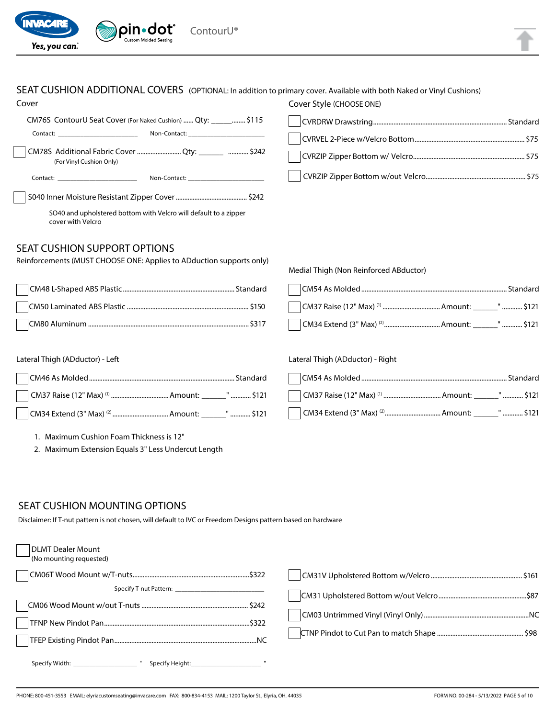

#### SEAT CUSHION ADDITIONAL COVERS (OPTIONAL: In addition to primary cover. Available with both Naked or Vinyl Cushions)

| Cover                                                                                                                                                                                                                                                                                                                                                                                                    | Cover Style (CHOOSE ONE)                                     |
|----------------------------------------------------------------------------------------------------------------------------------------------------------------------------------------------------------------------------------------------------------------------------------------------------------------------------------------------------------------------------------------------------------|--------------------------------------------------------------|
| CM76S ContourU Seat Cover (For Naked Cushion)  Qty: ______ \$115<br>CM78S Additional Fabric Cover Qty: _______  \$242<br>(For Vinyl Cushion Only)<br>Non-Contact: Non-<br>Contact: and the contact of the contact of the contact of the contact of the contact of the contact of the contact of the contact of the contact of the contact of the contact of the contact of the contact of the contact of |                                                              |
| SO40 and upholstered bottom with Velcro will default to a zipper<br>cover with Velcro<br><b>SEAT CUSHION SUPPORT OPTIONS</b><br>Reinforcements (MUST CHOOSE ONE: Applies to ADduction supports only)                                                                                                                                                                                                     | Medial Thigh (Non Reinforced ABductor)                       |
|                                                                                                                                                                                                                                                                                                                                                                                                          | CM37 Raise (12" Max) <sup>(1)</sup> Amount: ________"  \$121 |
| Lateral Thigh (ADductor) - Left                                                                                                                                                                                                                                                                                                                                                                          | Lateral Thigh (ADductor) - Right                             |

| CM34 Extend (3" Max) <sup>(2)</sup> Amount: ________"  \$121 |  |
|--------------------------------------------------------------|--|

| CM37 Raise (12" Max) <sup>(1)</sup> Amount: ________"  \$121 |  |
|--------------------------------------------------------------|--|
|                                                              |  |

1. Maximum Cushion Foam Thickness is 12"

2. Maximum Extension Equals 3" Less Undercut Length

#### SEAT CUSHION MOUNTING OPTIONS

Disclaimer: If T-nut pattern is not chosen, will default to IVC or Freedom Designs pattern based on hardware

| <b>DLMT Dealer Mount</b><br>(No mounting requested) |  |
|-----------------------------------------------------|--|
|                                                     |  |
|                                                     |  |
|                                                     |  |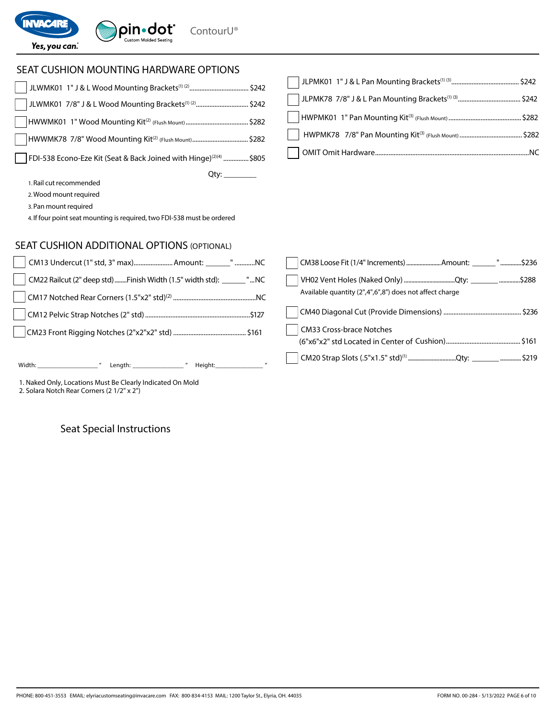

| SEAT CUSHION MOUNTING HARDWARE OPTIONS                                                                                                                                                       |                                                                    |
|----------------------------------------------------------------------------------------------------------------------------------------------------------------------------------------------|--------------------------------------------------------------------|
|                                                                                                                                                                                              |                                                                    |
| JLWMK01 7/8" J & L Wood Mounting Brackets <sup>(1)</sup> <sup>(2)</sup> \$242                                                                                                                |                                                                    |
|                                                                                                                                                                                              |                                                                    |
|                                                                                                                                                                                              |                                                                    |
| FDI-538 Econo-Eze Kit (Seat & Back Joined with Hinge) <sup>(2)(4)</sup> \$805                                                                                                                |                                                                    |
| Qty: $\_\_\_\_\_\_\_\_\_\_\_\_\_\_$<br>1. Rail cut recommended<br>2. Wood mount required<br>3. Pan mount required<br>4. If four point seat mounting is required, two FDI-538 must be ordered |                                                                    |
| <b>SEAT CUSHION ADDITIONAL OPTIONS (OPTIONAL)</b>                                                                                                                                            |                                                                    |
| CM13 Undercut (1" std, 3" max) Amount: ______" NC                                                                                                                                            | CM38 Loose Fit (1/4" Increments) Amount: _________" \$236          |
| CM22 Railcut (2" deep std)Finish Width (1.5" width std): ______ "NC                                                                                                                          |                                                                    |
|                                                                                                                                                                                              |                                                                    |
|                                                                                                                                                                                              | Available quantity (2",4",6",8") does not affect charge            |
|                                                                                                                                                                                              |                                                                    |
|                                                                                                                                                                                              | CM33 Cross-brace Notches                                           |
| Width: Width: Width: Width: Width: Width: Width: Width: Width: Width: Width: Width: Width: Width: Width: Width                                                                               | CM20 Strap Slots (.5"x1.5" std) <sup>(1)</sup> Qty: ________ \$219 |

2. Solara Notch Rear Corners (2 1/2" x 2")

Seat Special Instructions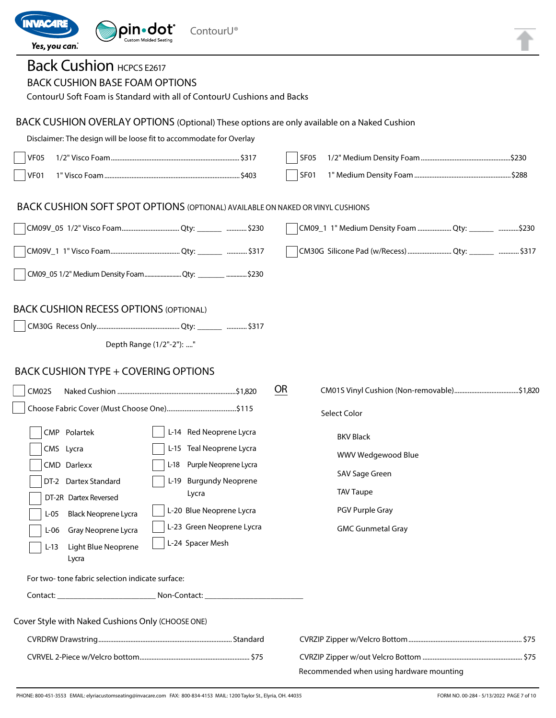| <b>NVAC4RE</b><br>pin•dot°<br>ContourU®<br>Yes, you can.                                                                                                                                                                                                                                                                                                                                                                                                                     |                                                                                                                                    |
|------------------------------------------------------------------------------------------------------------------------------------------------------------------------------------------------------------------------------------------------------------------------------------------------------------------------------------------------------------------------------------------------------------------------------------------------------------------------------|------------------------------------------------------------------------------------------------------------------------------------|
| <b>Back Cushion HCPCS E2617</b><br><b>BACK CUSHION BASE FOAM OPTIONS</b><br>ContourU Soft Foam is Standard with all of ContourU Cushions and Backs                                                                                                                                                                                                                                                                                                                           |                                                                                                                                    |
| BACK CUSHION OVERLAY OPTIONS (Optional) These options are only available on a Naked Cushion<br>Disclaimer: The design will be loose fit to accommodate for Overlay<br><b>VF05</b><br>VF <sub>01</sub>                                                                                                                                                                                                                                                                        | SF <sub>05</sub><br>SF <sub>01</sub>                                                                                               |
| BACK CUSHION SOFT SPOT OPTIONS (OPTIONAL) AVAILABLE ON NAKED OR VINYL CUSHIONS                                                                                                                                                                                                                                                                                                                                                                                               |                                                                                                                                    |
| CM09V_05_1/2" Visco FoamQty: ________  \$230<br>CM09_05 1/2" Medium Density Foam  Qty: _______  \$230                                                                                                                                                                                                                                                                                                                                                                        | CM09_1_1" Medium Density Foam  Qty: _________ \$230<br>CM30G Silicone Pad (w/Recess) Qty: _______  \$317                           |
| <b>BACK CUSHION RECESS OPTIONS (OPTIONAL)</b><br>Depth Range (1/2"-2"): "<br><b>BACK CUSHION TYPE + COVERING OPTIONS</b>                                                                                                                                                                                                                                                                                                                                                     |                                                                                                                                    |
| <b>OR</b><br>CM02S                                                                                                                                                                                                                                                                                                                                                                                                                                                           | Select Color                                                                                                                       |
| L-14 Red Neoprene Lycra<br>CMP Polartek<br>CMS Lycra<br>L-15 Teal Neoprene Lycra<br>Purple Neoprene Lycra<br>CMD Darlexx<br>L-18<br>DT-2 Dartex Standard<br><b>Burgundy Neoprene</b><br>L-19<br>Lycra<br>DT-2R Dartex Reversed<br>L-20 Blue Neoprene Lycra<br><b>Black Neoprene Lycra</b><br>L-05<br>L-23 Green Neoprene Lycra<br>Gray Neoprene Lycra<br>L-06<br>L-24 Spacer Mesh<br>Light Blue Neoprene<br>L-13<br>Lycra<br>For two-tone fabric selection indicate surface: | <b>BKV Black</b><br>WWV Wedgewood Blue<br><b>SAV Sage Green</b><br><b>TAV Taupe</b><br>PGV Purple Gray<br><b>GMC Gunmetal Gray</b> |
| Cover Style with Naked Cushions Only (CHOOSE ONE)                                                                                                                                                                                                                                                                                                                                                                                                                            | Recommended when using hardware mounting                                                                                           |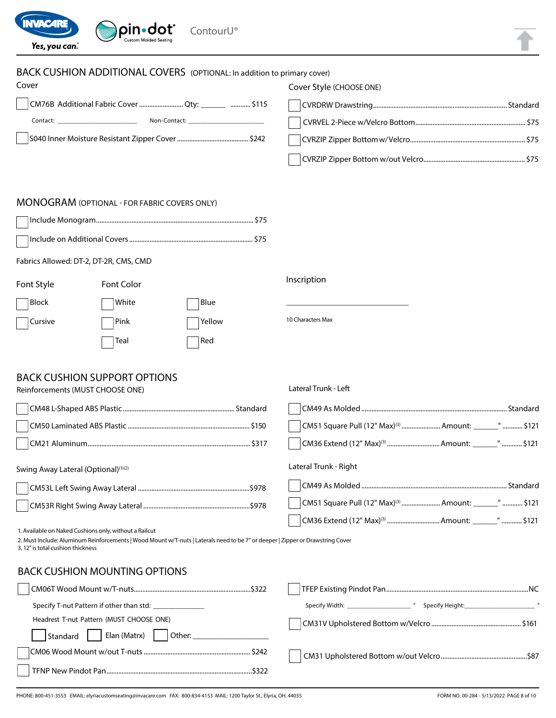| pin•dot°<br>ContourU®<br>Yes, you can.                                                                                                                                                                                                                                                                                                                                                       |                                                                    |
|----------------------------------------------------------------------------------------------------------------------------------------------------------------------------------------------------------------------------------------------------------------------------------------------------------------------------------------------------------------------------------------------|--------------------------------------------------------------------|
| BACK CUSHION ADDITIONAL COVERS (OPTIONAL: In addition to primary cover)<br>Cover<br>CM76B Additional Fabric Cover  Qty: ______  \$115<br>Non-Contact: Non-<br>Contact: the contract of the contract of the contract of the contract of the contract of the contract of the contract of the contract of the contract of the contract of the contract of the contract of the contract of the c | Cover Style (CHOOSE ONE)                                           |
| <b>MONOGRAM (OPTIONAL - FOR FABRIC COVERS ONLY)</b>                                                                                                                                                                                                                                                                                                                                          |                                                                    |
| Fabrics Allowed: DT-2, DT-2R, CMS, CMD<br>Font Color<br>Font Style<br>Block<br>White<br>Blue                                                                                                                                                                                                                                                                                                 | Inscription                                                        |
| Cursive<br>Yellow<br>Pink<br>Red<br>Teal                                                                                                                                                                                                                                                                                                                                                     | 10 Characters Max                                                  |
| <b>BACK CUSHION SUPPORT OPTIONS</b><br>Reinforcements (MUST CHOOSE ONE)                                                                                                                                                                                                                                                                                                                      | Lateral Trunk - Left                                               |
|                                                                                                                                                                                                                                                                                                                                                                                              |                                                                    |
|                                                                                                                                                                                                                                                                                                                                                                                              | CM51 Square Pull (12" Max) <sup>(3)</sup> Amount: ________"  \$121 |
|                                                                                                                                                                                                                                                                                                                                                                                              | CM36 Extend (12" Max) <sup>(3)</sup> Amount: ________"  \$121      |
| Swing Away Lateral (Optional) <sup>(1)(2)</sup>                                                                                                                                                                                                                                                                                                                                              | Lateral Trunk - Right                                              |
|                                                                                                                                                                                                                                                                                                                                                                                              |                                                                    |
|                                                                                                                                                                                                                                                                                                                                                                                              | CM51 Square Pull (12" Max) <sup>(3)</sup> Amount: _______"  \$121  |
| 1. Available on Naked Cushions only, without a Railcut<br>2. Must Include: Aluminum Reinforcements   Wood Mount w/T-nuts   Laterals need to be 7" or deeper   Zipper or Drawstring Cover<br>3.12" is total cushion thickness                                                                                                                                                                 | CM36 Extend (12" Max) <sup>(3)</sup> Amount: _______"  \$121       |
| <b>BACK CUSHION MOUNTING OPTIONS</b>                                                                                                                                                                                                                                                                                                                                                         |                                                                    |
|                                                                                                                                                                                                                                                                                                                                                                                              |                                                                    |
| Specify T-nut Pattern if other than std: _______________                                                                                                                                                                                                                                                                                                                                     |                                                                    |
| Headrest T-nut Pattern (MUST CHOOSE ONE)                                                                                                                                                                                                                                                                                                                                                     |                                                                    |
| Elan (Matrx)<br>Other:<br>Standard                                                                                                                                                                                                                                                                                                                                                           |                                                                    |
|                                                                                                                                                                                                                                                                                                                                                                                              |                                                                    |
|                                                                                                                                                                                                                                                                                                                                                                                              |                                                                    |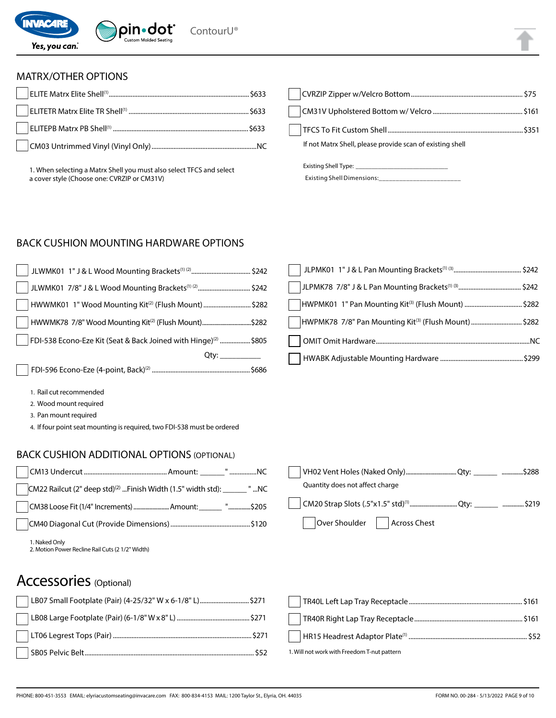

#### MATRX/OTHER OPTIONS

1. When selecting a Matrx Shell you must also select TFCS and select a cover style (Choose one: CVRZIP or CM31V)

| If not Matrx Shell, please provide scan of existing shell | 5351 |
|-----------------------------------------------------------|------|
|                                                           |      |

Existing Shell Dimensions:\_\_\_\_\_\_\_\_\_\_\_\_\_\_\_\_\_\_\_\_\_\_\_\_

 $\mathsf{I}$ 

#### BACK CUSHION MOUNTING HARDWARE OPTIONS

| │ │ JLWMK01 7/8" J & L Wood Mounting Brackets <sup>(1) (2)</sup> \$242     |  |
|----------------------------------------------------------------------------|--|
| HWWMK01_1" Wood Mounting Kit <sup>(2)</sup> (Flush Mount)  \$282           |  |
| HWWMK78_7/8" Wood Mounting Kit <sup>(2)</sup> (Flush Mount)\$282           |  |
| FDI-538 Econo-Eze Kit (Seat & Back Joined with Hinge) <sup>(2)</sup> \$805 |  |
|                                                                            |  |
|                                                                            |  |

| HWPMK01 1" Pan Mounting Kit <sup>(3)</sup> (Flush Mount)  \$282   |  |
|-------------------------------------------------------------------|--|
| HWPMK78 7/8" Pan Mounting Kit <sup>(3)</sup> (Flush Mount)  \$282 |  |
|                                                                   |  |
|                                                                   |  |

- 1. Rail cut recommended
- 2. Wood mount required
- 3. Pan mount required
- 4. If four point seat mounting is required, two FDI-538 must be ordered

#### BACK CUSHION ADDITIONAL OPTIONS (OPTIONAL)

| $\vert$ CM22 Railcut (2" deep std) <sup>(2)</sup> Finish Width (1.5" width std): _______ " NC |  |
|-----------------------------------------------------------------------------------------------|--|
| CM38 Loose Fit (1/4" Increments)  Amount: ________ "\$205                                     |  |
|                                                                                               |  |
|                                                                                               |  |

1. Naked Only 2. Motion Power Recline Rail Cuts (2 1/2" Width)

#### Accessories (Optional)

| LB07 Small Footplate (Pair) (4-25/32" W x 6-1/8" L)  \$271 |  |
|------------------------------------------------------------|--|
|                                                            |  |
|                                                            |  |
|                                                            |  |

| Quantity does not affect charge                                   |  |
|-------------------------------------------------------------------|--|
|                                                                   |  |
| CM20 Strap Slots (.5"x1.5" std) <sup>(1)</sup> Qty: _______ \$219 |  |

 $\vert$  Over Shoulder  $\vert$   $\vert$  Across Chest

| 1. Will not work with Freedom T-nut pattern |  |
|---------------------------------------------|--|